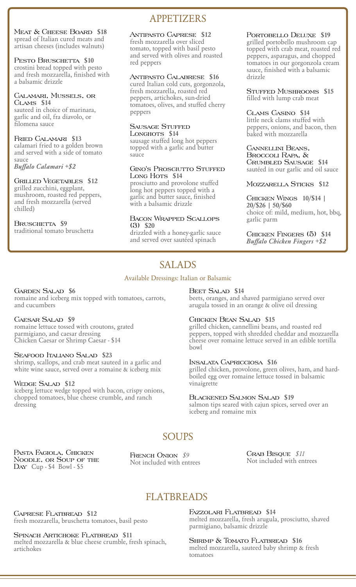Meat & Cheese Board **\$18** spread of Italian cured meats and artisan cheeses (includes walnuts)

### PESTO BRUSCHETTA \$10

crostini bread topped with pesto and fresh mozzarella, finished with a balsamic drizzle

### Calamari, Mussels, or Clams **\$14**

sauteed in choice of marinara, garlic and oil, fra diavolo, or filomena sauce

### Fried Calamari **\$13**

calamari fried to a golden brown and served with a side of tomato sauce

*Buffalo Calamari +\$2*

### Grilled Vegetables **\$12**

grilled zucchini, eggplant, mushroom, roasted red peppers, and fresh mozzarella (served chilled)

### BRUSCHETTA **\$9**

traditional tomato bruschetta

# APPETIZERS

### Antipasto Caprese **\$12**

fresh mozzarella over sliced tomato, topped with basil pesto and served with olives and roasted red peppers

### Antipasto Calabrese **\$16**

cured Italian cold cuts, gorgonzola, fresh mozzarella, roasted red peppers, artichokes, sun-dried tomatoes, olives, and stuffed cherry peppers

### SAUSAGE STUFFED

Longhots **\$14** sausage stuffed long hot peppers topped with a garlic and butter sauce

### GINO'S PROSCIUTTO STUFFED Long Hots \$14

prosciutto and provolone stuffed long hot peppers topped with a garlic and butter sauce, finished with a balsamic drizzle

### Bacon Wrapped Scallops (3) **\$20**

drizzled with a honey-garlic sauce and served over sautéed spinach

### Portobello Deluxe **\$19**

grilled portobello mushroom cap topped with crab meat, roasted red peppers, asparagus, and chopped tomatoes in our gorgonzola cream sauce, finished with a balsamic drizzle

Stuffed Mushrooms **\$15** filled with lump crab meat

### Clams Casino **\$14**

little neck clams stuffed with peppers, onions, and bacon, then baked with mozzarella

Cannellini Beans, Broccoli Rapa, & Crumbled Sausage **\$14** sautéed in our garlic and oil sauce

### Mozzarella Sticks **\$12**

Chicken Wings **10/\$14 | 20/\$26 | 50/\$60** choice of: mild, medium, hot, bbq, garlic parm

Chicken Fingers (5) **\$14** *Buffalo Chicken Fingers +\$2*

# SALADS

### Available Dressings: Italian or Balsamic

### Garden Salad **\$6**

romaine and iceberg mix topped with tomatoes, carrots, and cucumbers

### Caesar Salad **\$9**

romaine lettuce tossed with croutons, grated parmigiano, and caesar dressing Chicken Caesar or Shrimp Caesar - \$14

### Seafood Italiano Salad **\$23**

shrimp, scallops, and crab meat sauteed in a garlic and white wine sauce, served over a romaine & iceberg mix

### Wedge Salad **\$12**

iceberg lettuce wedge topped with bacon, crispy onions, chopped tomatoes, blue cheese crumble, and ranch dressing

### Beet Salad **\$14**

beets, oranges, and shaved parmigiano served over arugula tossed in an orange & olive oil dressing

### Chicken Bean Salad **\$15**

grilled chicken, cannellini beans, and roasted red peppers, topped with shredded cheddar and mozzarella cheese over romaine lettuce served in an edible tortilla bowl

### Insalata Capricciosa **\$16**

grilled chicken, provolone, green olives, ham, and hardboiled egg over romaine lettuce tossed in balsamic vinaigrette

### Blackened Salmon Salad **\$19**

salmon tips seared with cajun spices, served over an iceberg and romaine mix

# SOUPS

Pasta Fagiola, Chicken Noodle, or Soup of the Day Cup - \$4 Bowl - \$5

FRENCH ONION  $$9$ Not included with entrees

Crab Bisque *\$11* Not included with entrees

# **FLATBREADS**

Caprese Flatbread **\$12** fresh mozzarella, bruschetta tomatoes, basil pesto

### Spinach Artichoke Flatbread **\$11**

melted mozzarella & blue cheese crumble, fresh spinach, artichokes

Fazzolari Flatbread **\$14** melted mozzarella, fresh arugula, prosciutto, shaved parmigiano, balsamic drizzle

Shrimp & Tomato Flatbread **\$16** melted mozzarella, sauteed baby shrimp & fresh tomatoes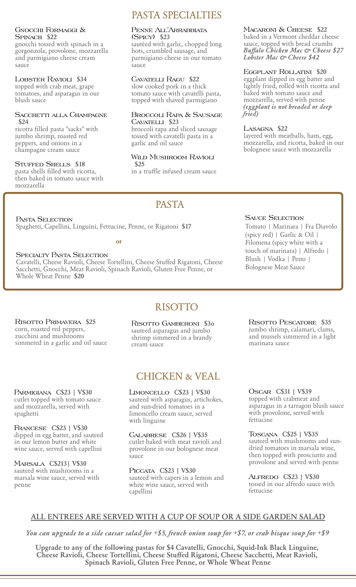### Gnocchi Formaggi & Spinach **\$22**

gnocchi tossed with spinach in a gorgonzola, provolone, mozzarella and parmigiano cheese cream sauce

### Lobster Ravioli **\$34**

topped with crab meat, grape tomatoes, and asparagus in our blush sauce

### Sacchetti alla Champagne **\$24**

ricotta filled pasta "sacks" with jumbo shrimp, roasted red peppers, and onions in a champagne cream sauce

### Stuffed Shells **\$18**

pasta shells filled with ricotta, then baked in tomato sauce with mozzarella

# PASTA SPECIALTIES

### Penne All'Arrabbiata (Spicy) **\$23**

sautéed with garlic, chopped long hots, crumbled sausage, and parmigiano cheese in our tomato sauce

### Cavatelli Ragu **\$22**

slow cooked pork in a thick tomato sauce with cavatelli pasta, topped with shaved parmigiano

### Broccoli Rapa & Sausage Cavatelli **\$23**

broccoli rapa and sliced sausage tossed with cavatelli pasta in a garlic and oil sauce

### Wild Mushroom Ravioli **\$25**

in a truffle infused cream sauce

PASTA

### Macaroni & Cheese **\$22**

baked in a Vermont cheddar cheese sauce, topped with bread crumbs *Buffalo Chicken Mac & Cheese \$27 Lobster Mac & Cheese \$42*

### Eggplant Rollatini **\$20**

eggplant dipped in egg batter and lightly fried, rolled with ricotta and baked with tomato sauce and mozzarella, served with penne *(eggplant is not breaded or deep fried)*

### Lasagna **\$22**

layered with meatballs, ham, egg, mozzarella, and ricotta, baked in our bolognese sauce with mozzarella

PASTA SELECTION Spaghetti, Capellini, Linguini, Fettucine, Penne, or Rigatoni **\$17**

**or**

### Specialty Pasta Selection

Cavatelli, Cheese Ravioli, Cheese Tortellini, Cheese Stuffed Rigatoni, Cheese Sacchetti, Gnocchi, Meat Ravioli, Spinach Ravioli, Gluten Free Penne, or Whole Wheat Penne **\$20**

### Sauce Selection

Tomato | Marinara | Fra Diavolo (spicy red) | Garlic & Oil | Filomena (spicy white with a touch of marinara) | Alfredo | Blush | Vodka | Pesto | Bolognese Meat Sauce

Risotto Primavera **\$25** corn, roasted red peppers, zucchini and mushrooms simmered in a garlic and oil sauce

Parmigiana **C\$23 | V\$30** cutlet topped with tomato sauce and mozzarella, served with spaghetti

Francese **C\$23 | V\$30** dipped in egg batter, and sauteed in our lemon butter and white wine sauce, served with capellini

Marsala **C\$213| V\$30** sauteed with mushrooms in a marsala wine sauce, served with penne

Risotto Gamberoni **\$3o** sauteed asparagus and jumbo shrimp simmered in a brandy cream sauce

RISOTTO

# CHICKEN & VEAL

Limoncello **C\$23 | V\$30** sauteed with asparagus, artichokes, and sun-dried tomatoes in a limoncello cream sauce, served with linguine

Calabrese **C\$26 | V\$35** cutlet baked with meat ravioli and provolone in our bolognese meat sauce

Piccata **C\$23 | V\$30** sauteed with capers in a lemon and white wine sauce, served with capellini

Risotto Pescatore **\$35** jumbo shrimp, calamari, clams, and mussels simmered in a light marinara sauce

Oscar **C\$31 | V\$39** topped with crabmeat and asparagus in a tarragon blush sauce with provolone, served with fettucine

Toscana **C\$25 | V\$35** sauteed with mushrooms and sundried tomatoes in marsala wine, then topped with prosciutto and provolone and served with penne

Alfredo **C\$23 | V\$30** tossed in our alfredo sauce with fettucine

# **ALL ENTREES ARE SERVED WITH A CUP OF SOUP OR A SIDE GARDEN SALAD**

*You can upgrade to a side caesar salad for +\$5, french onion soup for +\$7, or crab bisque soup for +\$9*

**Upgrade to any of the following pastas for \$4 Cavatelli, Gnocchi, Squid-Ink Black Linguine, Cheese Ravioli, Cheese Tortellini, Cheese Stuffed Rigatoni, Cheese Sacchetti, Meat Ravioli, Spinach Ravioli, Gluten Free Penne, or Whole Wheat Penne**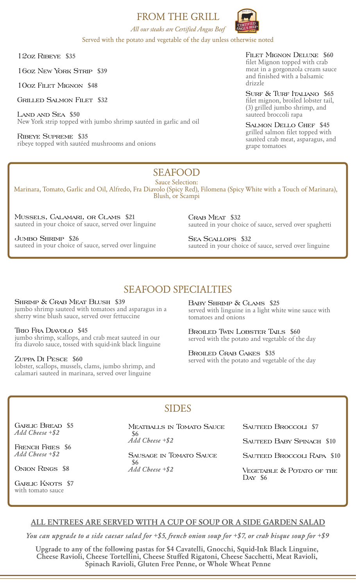## FROM THE GRILL



*All our steaks are Certified Angus Beef* Served with the potato and vegetable of the day unless otherwise noted

12oz Ribeye **\$35**

16oz New York Strip **\$39**

10oz Filet Mignon **\$48**

Grilled Salmon Filet **\$32**

Land and Sea **\$50** New York strip topped with jumbo shrimp sautéed in garlic and oil

Ribeye Supreme **\$35** ribeye topped with sautéed mushrooms and onions Filet Mignon Deluxe **\$60** filet Mignon topped with crab meat in a gorgonzola cream sauce and finished with a balsamic drizzle

Surf & Turf Italiano **\$65** filet mignon, broiled lobster tail, (3) grilled jumbo shrimp, and sauteed broccoli rapa

Salmon Dello Chef **\$45** grilled salmon filet topped with sautèed crab meat, asparagus, and grape tomatoes

# SEAFOOD

Sauce Selection: Marinara, Tomato, Garlic and Oil, Alfredo, Fra Diavolo (Spicy Red), Filomena (Spicy White with a Touch of Marinara), Blush, or Scampi

Mussels, Calamari, or Clams **\$21** sauteed in your choice of sauce, served over linguine

Jumbo Shrimp **\$26** sauteed in your choice of sauce, served over linguine Crab Meat **\$32** sauteed in your choice of sauce, served over spaghetti

Sea Scallops **\$32** sauteed in your choice of sauce, served over linguine

# SEAFOOD SPECIALTIES

Shrimp & Crab Meat Blush **\$39** jumbo shrimp sauteed with tomatoes and asparagus in a sherry wine blush sauce, served over fettuccine

Trio Fra Diavolo **\$45** jumbo shrimp, scallops, and crab meat sauteed in our fra diavolo sauce, tossed with squid-ink black linguine

### Zuppa Di Pesce **\$60**

lobster, scallops, mussels, clams, jumbo shrimp, and calamari sauteed in marinara, served over linguine

Baby Shrimp & Clams **\$25** served with linguine in a light white wine sauce with tomatoes and onions

Broiled Twin Lobster Tails **\$60** served with the potato and vegetable of the day

Broiled Crab Cakes **\$35** served with the potato and vegetable of the day

### SIDES

Garlic Bread **\$5** *Add Cheese +\$2*

French Fries **\$6** *Add Cheese +\$2*

Onion Rings **\$8**

GARLIC KNOTS \$7 with tomato sauce

Meatballs in Tomato Sauce **\$6** *Add Cheese +\$2*

Sausage in Tomato Sauce **\$6** *Add Cheese +\$2*

Sauteed Broccoli **\$7**

Sauteed Baby Spinach **\$10**

Sauteed Broccoli Rapa **\$10**

VEGETABLE & POTATO OF THE Day **\$6**

### **ALL ENTREES ARE SERVED WITH A CUP OF SOUP OR A SIDE GARDEN SALAD**

*You can upgrade to a side caesar salad for +\$5, french onion soup for +\$7, or crab bisque soup for +\$9*

**Upgrade to any of the following pastas for \$4 Cavatelli, Gnocchi, Squid-Ink Black Linguine, Cheese Ravioli, Cheese Tortellini, Cheese Stuffed Rigatoni, Cheese Sacchetti, Meat Ravioli, Spinach Ravioli, Gluten Free Penne, or Whole Wheat Penne**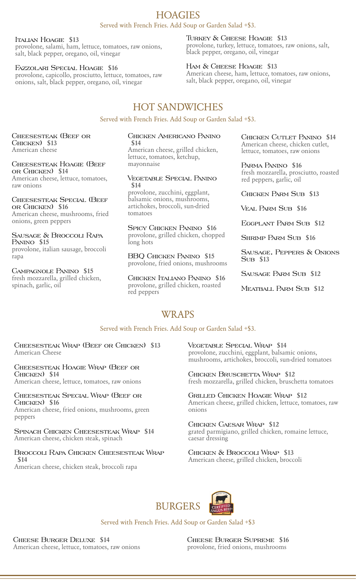# **HOAGIES**

Served with French Fries. Add Soup or Garden Salad +\$3.

### Italian Hoagie **\$13**

provolone, salami, ham, lettuce, tomatoes, raw onions, salt, black pepper, oregano, oil, vinegar

### Fazzolari Special Hoagie **\$16**

provolone, capicollo, prosciutto, lettuce, tomatoes, raw onions, salt, black pepper, oregano, oil, vinegar

### Turkey & Cheese Hoagie **\$13**

provolone, turkey, lettuce, tomatoes, raw onions, salt, black pepper, oregano, oil, vinegar

### Ham & Cheese Hoagie **\$13**

American cheese, ham, lettuce, tomatoes, raw onions, salt, black pepper, oregano, oil, vinegar

# HOT SANDWICHES

Served with French Fries. Add Soup or Garden Salad +\$3.

Cheesesteak (Beef or Chicken) **\$13** American cheese

Cheesesteak Hoagie (Beef or Chicken) **\$14** American cheese, lettuce, tomatoes, raw onions

Cheesesteak Special (Beef or Chicken) **\$16** American cheese, mushrooms, fried onions, green peppers

Sausage & Broccoli Rapa Panino **\$15** provolone, italian sausage, broccoli rapa

Campagnole Panino **\$15** fresh mozzarella, grilled chicken, spinach, garlic, oil

#### Chicken Americano Panino **\$14**

American cheese, grilled chicken, lettuce, tomatoes, ketchup, mayonnaise

### Vegetable Special Panino **\$14**

provolone, zucchini, eggplant, balsamic onions, mushrooms, artichokes, broccoli, sun-dried tomatoes

Spicy Chicken Panino **\$16** provolone, grilled chicken, chopped long hots

BBQ Chicken Panino **\$15** provolone, fried onions, mushrooms

Chicken Italiano Panino **\$16** provolone, grilled chicken, roasted red peppers

Chicken Cutlet Panino **\$14** American cheese, chicken cutlet, lettuce, tomatoes, raw onions

Parma Panino **\$16** fresh mozzarella, prosciutto, roasted red peppers, garlic, oil

Chicken Parm Sub **\$13**

Veal Parm Sub **\$16**

Eggplant Parm Sub **\$12**

Shrimp Parm Sub **\$16**

Sausage, Peppers & Onions Sub **\$13**

Sausage Parm Sub **\$12**

Meatball Parm Sub **\$12**

### **WRAPS**

### Served with French Fries. Add Soup or Garden Salad +\$3.

Cheesesteak Wrap (Beef or Chicken) **\$13** American Cheese

Cheesesteak Hoagie Wrap (Beef or Chicken) **\$14** American cheese, lettuce, tomatoes, raw onions

Cheesesteak Special Wrap (Beef or Chicken) **\$16** American cheese, fried onions, mushrooms, green

peppers

Spinach Chicken Cheesesteak Wrap **\$14** American cheese, chicken steak, spinach

### Broccoli Rapa Chicken Cheesesteak Wrap **\$14**

American cheese, chicken steak, broccoli rapa

Vegetable Special Wrap **\$14** provolone, zucchini, eggplant, balsamic onions, mushrooms, artichokes, broccoli, sun-dried tomatoes

Chicken Bruschetta Wrap **\$12** fresh mozzarella, grilled chicken, bruschetta tomatoes

Grilled Chicken Hoagie Wrap **\$12** American cheese, grilled chicken, lettuce, tomatoes, raw onions

Chicken Caesar Wrap **\$12** grated parmigiano, grilled chicken, romaine lettuce, caesar dressing

Chicken & Broccoli Wrap **\$13** American cheese, grilled chicken, broccoli



Served with French Fries. Add Soup or Garden Salad +\$3

Cheese Burger Deluxe **\$14** American cheese, lettuce, tomatoes, raw onions Cheese Burger Supreme **\$16** provolone, fried onions, mushrooms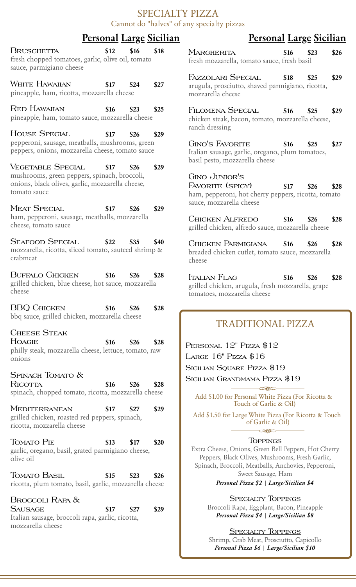### SPECIALTY PIZZA Cannot do "halves" of any specialty pizzas

# **Personal Large Sicilian Personal Large Sicilian**

| BRUSCHETTA<br>fresh chopped tomatoes, garlic, olive oil, tomato<br>sauce, parmigiano cheese                                 |             | $$12$ $$16$ $$18$ |      |
|-----------------------------------------------------------------------------------------------------------------------------|-------------|-------------------|------|
| WHITE HAWAIIAN<br>pineapple, ham, ricotta, mozzarella cheese                                                                | $$17$ $$24$ |                   | \$27 |
| Red Hawaiian<br>pineapple, ham, tomato sauce, mozzarella cheese                                                             |             | $$16$ $$23$       | \$25 |
| <b>HOUSE SPECIAL</b><br>pepperoni, sausage, meatballs, mushrooms, green<br>peppers, onions, mozzarella cheese, tomato sauce |             | $$17$ $$26$ $$29$ |      |
| <b>VEGETABLE SPECIAL</b>                                                                                                    | $$17$ $$26$ |                   | \$29 |

mushrooms, green peppers, spinach, broccoli, onions, black olives, garlic, mozzarella cheese, tomato sauce

Meat Special **\$17 \$26 \$29** ham, pepperoni, sausage, meatballs, mozzarella cheese, tomato sauce

Seafood Special **\$22 \$35 \$40** mozzarella, ricotta, sliced tomato, sauteed shrimp & crabmeat

Buffalo Chicken **\$16 \$26 \$28** grilled chicken, blue cheese, hot sauce, mozzarella cheese

| <b>BBO CHICKEN</b> |  |                                               | $$16$ $$26$ $$28$ |  |
|--------------------|--|-----------------------------------------------|-------------------|--|
|                    |  | bbq sauce, grilled chicken, mozzarella cheese |                   |  |

Cheese Steak

Hoagie **\$16 \$26 \$28** philly steak, mozzarella cheese, lettuce, tomato, raw onions

### SPINACH TOMATO &

Ricotta **\$16 \$26 \$28** spinach, chopped tomato, ricotta, mozzarella cheese

Mediterranean **\$17 \$27 \$29** grilled chicken, roasted red peppers, spinach, ricotta, mozzarella cheese

Tomato Pie **\$13 \$17 \$20** garlic, oregano, basil, grated parmigiano cheese, olive oil

Tomato Basil **\$15 \$23 \$26** ricotta, plum tomato, basil, garlic, mozzarella cheese

Broccoli Rapa & Sausage **\$17 \$27 \$29** Italian sausage, broccoli rapa, garlic, ricotta, mozzarella cheese

| <b>MARGHERITA</b>                           | $$16$ $$23$ $$26$ |  |
|---------------------------------------------|-------------------|--|
| fresh mozzarella, tomato sauce, fresh basil |                   |  |
|                                             |                   |  |

Fazzolari Special **\$18 \$25 \$29** arugula, prosciutto, shaved parmigiano, ricotta, mozzarella cheese

Filomena Special **\$16 \$25 \$29** chicken steak, bacon, tomato, mozzarella cheese, ranch dressing

Gino's Favorite **\$16 \$25 \$27** Italian sausage, garlic, oregano, plum tomatoes, basil pesto, mozzarella cheese

### Gino Junior's

Favorite (spicy) **\$17 \$26 \$28** ham, pepperoni, hot cherry peppers, ricotta, tomato sauce, mozzarella cheese

Chicken Alfredo **\$16 \$26 \$28** grilled chicken, alfredo sauce, mozzarella cheese

Chicken Parmigiana **\$16 \$26 \$28** breaded chicken cutlet, tomato sauce, mozzarella cheese

Italian Flag **\$16 \$26 \$28** grilled chicken, arugula, fresh mozzarella, grape tomatoes, mozzarella cheese

# TRADITIONAL PIZZA

PERSONAL 12" PIZZA \$12 LARGE 16" PIZZA \$16 SICILIAN SOUARE PIZZA \$19 Sicilian Grandmama Pizza \$19

Add \$1.00 for Personal White Pizza (For Ricotta & Touch of Garlic & Oil)

 $\sim$ 

Add \$1.50 for Large White Pizza (For Ricotta & Touch of Garlic & Oil)  $\leq 0$ 

### **TOPPINGS**

Extra Cheese, Onions, Green Bell Peppers, Hot Cherry Peppers, Black Olives, Mushrooms, Fresh Garlic, Spinach, Broccoli, Meatballs, Anchovies, Pepperoni, Sweet Sausage, Ham

*Personal Pizza \$2 | Large/Sicilian \$4*

**SPECIALTY TOPPINGS** Broccoli Rapa, Eggplant, Bacon, Pineapple *Personal Pizza \$4 | Large/Sicilian \$8*

**SPECIALTY TOPPINGS** Shrimp, Crab Meat, Prosciutto, Capicollo *Personal Pizza \$6 | Large/Sicilian \$10*